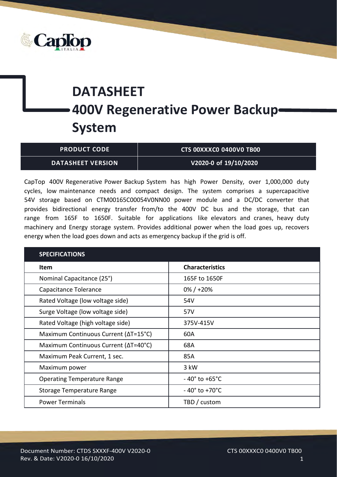

## **DATASHEET 400V Regenerative Power Backup System**

| <b>PRODUCT CODE .</b>    | CTS 00XXXC0 0400V0 TB00 |
|--------------------------|-------------------------|
| <b>DATASHEET VERSION</b> | V2020-0 of 19/10/2020   |

CapTop 400V Regenerative Power Backup System has high Power Density, over 1,000,000 duty cycles, low maintenance needs and compact design. The system comprises a supercapacitive 54V storage based on CTM00165C00054V0NN00 power module and a DC/DC converter that provides bidirectional energy transfer from/to the 400V DC bus and the storage, that can range from 165F to 1650F. Suitable for applications like elevators and cranes, heavy duty machinery and Energy storage system. Provides additional power when the load goes up, recovers energy when the load goes down and acts as emergency backup if the grid is off.

| <b>SPECIFICATIONS</b>                |                                  |
|--------------------------------------|----------------------------------|
| Item                                 | <b>Characteristics</b>           |
| Nominal Capacitance (25°)            | 165F to 1650F                    |
| Capacitance Tolerance                | $0\% / +20\%$                    |
| Rated Voltage (low voltage side)     | 54V                              |
| Surge Voltage (low voltage side)     | 57V                              |
| Rated Voltage (high voltage side)    | 375V-415V                        |
| Maximum Continuous Current (ΔT=15°C) | 60A                              |
| Maximum Continuous Current (ΔT=40°C) | 68A                              |
| Maximum Peak Current, 1 sec.         | 85A                              |
| Maximum power                        | 3 kW                             |
| <b>Operating Temperature Range</b>   | $-40^{\circ}$ to $+65^{\circ}$ C |
| Storage Temperature Range            | $-40^\circ$ to +70°C             |
| <b>Power Terminals</b>               | TBD / custom                     |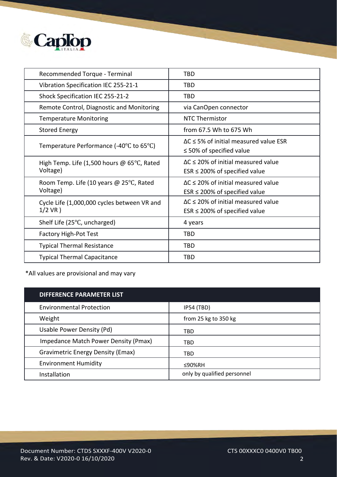

| Recommended Torque - Terminal                                    | TBD                                                                                   |
|------------------------------------------------------------------|---------------------------------------------------------------------------------------|
| Vibration Specification IEC 255-21-1                             | TBD                                                                                   |
| Shock Specification IEC 255-21-2                                 | <b>TBD</b>                                                                            |
| Remote Control, Diagnostic and Monitoring                        | via CanOpen connector                                                                 |
| <b>Temperature Monitoring</b>                                    | NTC Thermistor                                                                        |
| <b>Stored Energy</b>                                             | from 67.5 Wh to 675 Wh                                                                |
| Temperature Performance $(-40^{\circ}C \text{ to } 65^{\circ}C)$ | $\Delta C \leq 5\%$ of initial measured value ESR<br>$\leq$ 50% of specified value    |
| High Temp. Life (1,500 hours $@$ 65°C, Rated<br>Voltage)         | $\Delta C \leq 20\%$ of initial measured value<br>$ESR \leq 200\%$ of specified value |
| Room Temp. Life (10 years @ 25°C, Rated<br>Voltage)              | $\Delta C \leq 20\%$ of initial measured value<br>$ESR \leq 200\%$ of specified value |
| Cycle Life (1,000,000 cycles between VR and<br>$1/2$ VR $)$      | $\Delta C \leq 20\%$ of initial measured value<br>$ESR \leq 200\%$ of specified value |
| Shelf Life (25°C, uncharged)                                     | 4 years                                                                               |
| <b>Factory High-Pot Test</b>                                     | <b>TBD</b>                                                                            |
| <b>Typical Thermal Resistance</b>                                | <b>TBD</b>                                                                            |
| <b>Typical Thermal Capacitance</b>                               | <b>TBD</b>                                                                            |

\*All values are provisional and may vary

| <b>DIFFERENCE PARAMETER LIST</b>         |                             |
|------------------------------------------|-----------------------------|
| <b>Environmental Protection</b>          | <b>IP54 (TBD)</b>           |
| Weight                                   | from 25 kg to 350 kg        |
| Usable Power Density (Pd)                | <b>TBD</b>                  |
| Impedance Match Power Density (Pmax)     | TBD                         |
| <b>Gravimetric Energy Density (Emax)</b> | TBD                         |
| <b>Environment Humidity</b>              | ≤90%RH                      |
| Installation                             | only by qualified personnel |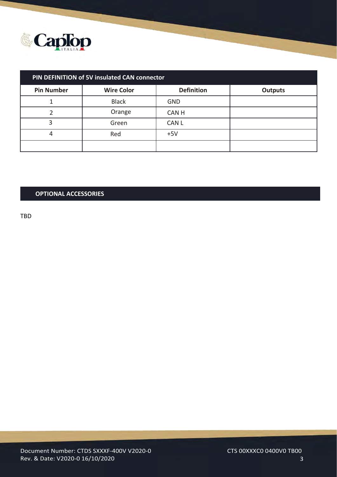

| PIN DEFINITION of 5V insulated CAN connector |                   |                   |                |
|----------------------------------------------|-------------------|-------------------|----------------|
| <b>Pin Number</b>                            | <b>Wire Color</b> | <b>Definition</b> | <b>Outputs</b> |
|                                              | <b>Black</b>      | <b>GND</b>        |                |
|                                              | Orange            | <b>CANH</b>       |                |
| 3                                            | Green             | <b>CAN L</b>      |                |
| 4                                            | Red               | $+5V$             |                |
|                                              |                   |                   |                |

## **OPTIONAL ACCESSORIES**

TBD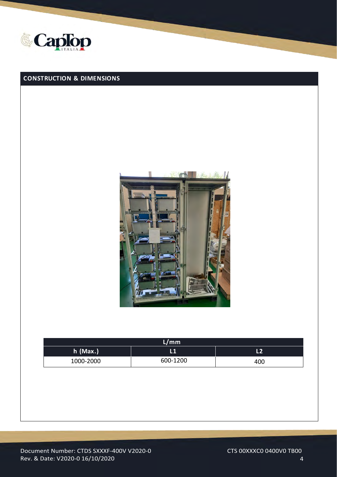

## **CONSTRUCTION & DIMENSIONS**



| L/mm       |          |     |
|------------|----------|-----|
| $h$ (Max.) |          | L2  |
| 1000-2000  | 600-1200 | 400 |